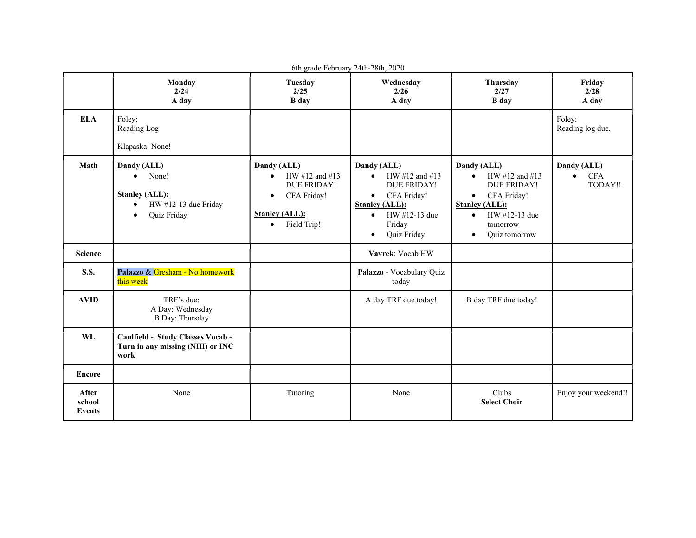| 6th grade February 24th-28th, 2020 |                                                                                                                             |                                                                                                                                                   |                                                                                                                                                                                    |                                                                                                                                                                                        |                                                   |  |  |
|------------------------------------|-----------------------------------------------------------------------------------------------------------------------------|---------------------------------------------------------------------------------------------------------------------------------------------------|------------------------------------------------------------------------------------------------------------------------------------------------------------------------------------|----------------------------------------------------------------------------------------------------------------------------------------------------------------------------------------|---------------------------------------------------|--|--|
|                                    | Monday<br>2/24<br>A day                                                                                                     | Tuesday<br>2/25<br><b>B</b> day                                                                                                                   | Wednesday<br>2/26<br>A day                                                                                                                                                         | Thursday<br>2/27<br><b>B</b> day                                                                                                                                                       | Friday<br>2/28<br>A day                           |  |  |
| <b>ELA</b>                         | Foley:<br>Reading Log<br>Klapaska: None!                                                                                    |                                                                                                                                                   |                                                                                                                                                                                    |                                                                                                                                                                                        | Foley:<br>Reading log due.                        |  |  |
| Math                               | Dandy (ALL)<br>None!<br>$\bullet$<br><b>Stanley (ALL):</b><br>HW #12-13 due Friday<br>$\bullet$<br>Quiz Friday<br>$\bullet$ | Dandy (ALL)<br>HW #12 and #13<br>$\bullet$<br><b>DUE FRIDAY!</b><br>CFA Friday!<br>$\bullet$<br><b>Stanley (ALL):</b><br>Field Trip!<br>$\bullet$ | Dandy (ALL)<br>HW #12 and #13<br>$\bullet$<br>DUE FRIDAY!<br>CFA Friday!<br>$\bullet$<br><b>Stanley (ALL):</b><br>HW #12-13 due<br>$\bullet$<br>Friday<br>Quiz Friday<br>$\bullet$ | Dandy (ALL)<br>HW #12 and #13<br>$\bullet$<br>DUE FRIDAY!<br>CFA Friday!<br>$\bullet$<br><b>Stanley (ALL):</b><br>HW #12-13 due<br>$\bullet$<br>tomorrow<br>Quiz tomorrow<br>$\bullet$ | Dandy (ALL)<br><b>CFA</b><br>$\bullet$<br>TODAY!! |  |  |
| <b>Science</b>                     |                                                                                                                             |                                                                                                                                                   | Vavrek: Vocab HW                                                                                                                                                                   |                                                                                                                                                                                        |                                                   |  |  |
| <b>S.S.</b>                        | Palazzo & Gresham - No homework<br>this week                                                                                |                                                                                                                                                   | Palazzo - Vocabulary Quiz<br>today                                                                                                                                                 |                                                                                                                                                                                        |                                                   |  |  |
| <b>AVID</b>                        | TRF's due:<br>A Day: Wednesday<br><b>B</b> Day: Thursday                                                                    |                                                                                                                                                   | A day TRF due today!                                                                                                                                                               | B day TRF due today!                                                                                                                                                                   |                                                   |  |  |
| WL                                 | Caulfield - Study Classes Vocab -<br>Turn in any missing (NHI) or INC<br>work                                               |                                                                                                                                                   |                                                                                                                                                                                    |                                                                                                                                                                                        |                                                   |  |  |
| <b>Encore</b>                      |                                                                                                                             |                                                                                                                                                   |                                                                                                                                                                                    |                                                                                                                                                                                        |                                                   |  |  |
| After<br>school<br>Events          | None                                                                                                                        | Tutoring                                                                                                                                          | None                                                                                                                                                                               | Clubs<br><b>Select Choir</b>                                                                                                                                                           | Enjoy your weekend!!                              |  |  |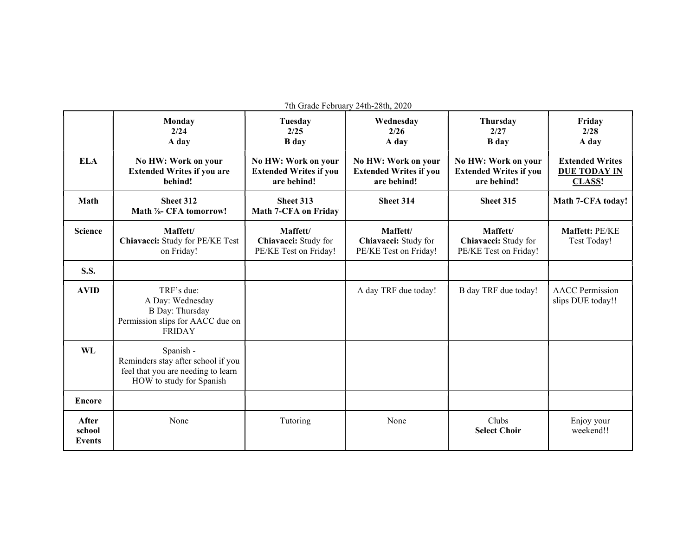| 7th Grade February 24th-28th, 2020 |                                                                                                                   |                                                                     |                                                                     |                                                                     |                                                                |  |  |  |
|------------------------------------|-------------------------------------------------------------------------------------------------------------------|---------------------------------------------------------------------|---------------------------------------------------------------------|---------------------------------------------------------------------|----------------------------------------------------------------|--|--|--|
|                                    | Monday<br>2/24<br>A day                                                                                           | Tuesday<br>2/25<br><b>B</b> day                                     | Wednesday<br>2/26<br>A day                                          | <b>Thursday</b><br>2/27<br><b>B</b> day                             | Friday<br>2/28<br>A day                                        |  |  |  |
| <b>ELA</b>                         | No HW: Work on your<br><b>Extended Writes if you are</b><br>behind!                                               | No HW: Work on your<br><b>Extended Writes if you</b><br>are behind! | No HW: Work on your<br><b>Extended Writes if you</b><br>are behind! | No HW: Work on your<br><b>Extended Writes if you</b><br>are behind! | <b>Extended Writes</b><br><b>DUE TODAY IN</b><br><b>CLASS!</b> |  |  |  |
| Math                               | Sheet 312<br>Math %- CFA tomorrow!                                                                                | Sheet 313<br><b>Math 7-CFA on Friday</b>                            | Sheet 314                                                           | Sheet 315                                                           | Math 7-CFA today!                                              |  |  |  |
| <b>Science</b>                     | Maffett/<br>Chiavacci: Study for PE/KE Test<br>on Friday!                                                         | Maffett/<br>Chiavacci: Study for<br>PE/KE Test on Friday!           | Maffett/<br>Chiavacci: Study for<br>PE/KE Test on Friday!           | Maffett/<br>Chiavacci: Study for<br>PE/KE Test on Friday!           | Maffett: PE/KE<br>Test Today!                                  |  |  |  |
| <b>S.S.</b>                        |                                                                                                                   |                                                                     |                                                                     |                                                                     |                                                                |  |  |  |
| <b>AVID</b>                        | TRF's due:<br>A Day: Wednesday<br><b>B</b> Day: Thursday<br>Permission slips for AACC due on<br><b>FRIDAY</b>     |                                                                     | A day TRF due today!                                                | B day TRF due today!                                                | <b>AACC</b> Permission<br>slips DUE today!!                    |  |  |  |
| WL                                 | Spanish -<br>Reminders stay after school if you<br>feel that you are needing to learn<br>HOW to study for Spanish |                                                                     |                                                                     |                                                                     |                                                                |  |  |  |
| <b>Encore</b>                      |                                                                                                                   |                                                                     |                                                                     |                                                                     |                                                                |  |  |  |
| After<br>school<br><b>Events</b>   | None                                                                                                              | Tutoring                                                            | None                                                                | Clubs<br><b>Select Choir</b>                                        | Enjoy your<br>weekend!!                                        |  |  |  |